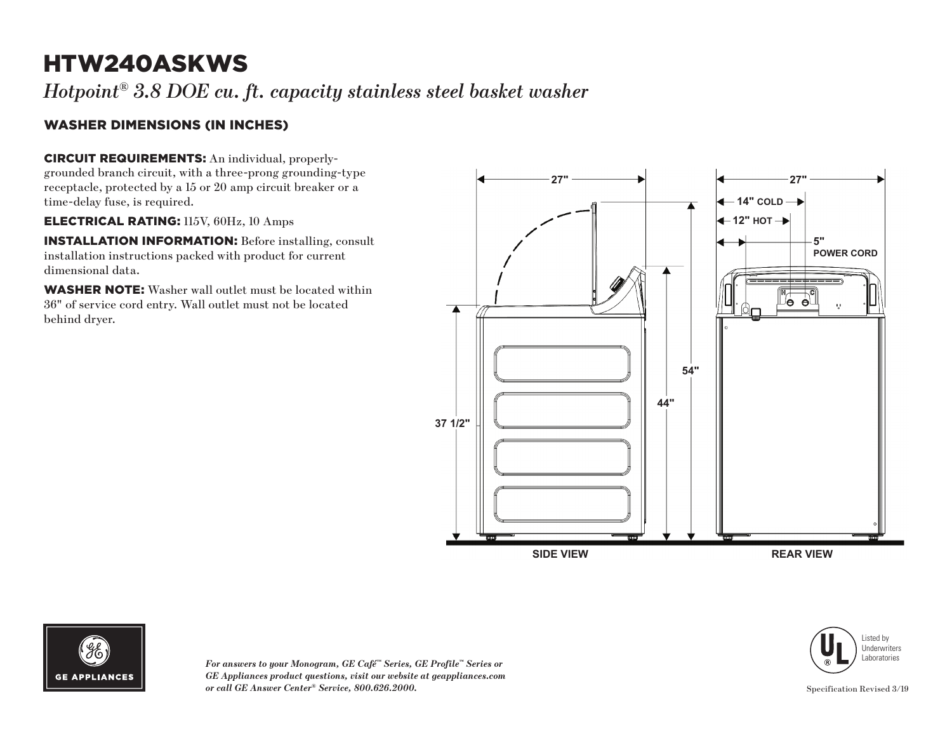# HTW240ASKWS

*Hotpoint® 3.8 DOE cu. ft. capacity stainless steel basket washer*

### WASHER DIMENSIONS (IN INCHES)

CIRCUIT REQUIREMENTS: An individual, properlygrounded branch circuit, with a three-prong grounding-type receptacle, protected by a 15 or 20 amp circuit breaker or a time-delay fuse, is required.

ELECTRICAL RATING: 115V, 60Hz, 10 Amps

INSTALLATION INFORMATION: Before installing, consult installation instructions packed with product for current dimensional data.

WASHER NOTE: Washer wall outlet must be located within 36" of service cord entry. Wall outlet must not be located behind dryer.





*For answers to your Monogram, GE Café™ Series, GE Profile™ Series or GE Appliances product questions, visit our website at geappliances.com or call GE Answer Center® Service, 800.626.2000.*

Listed by Underwriters Laboratories